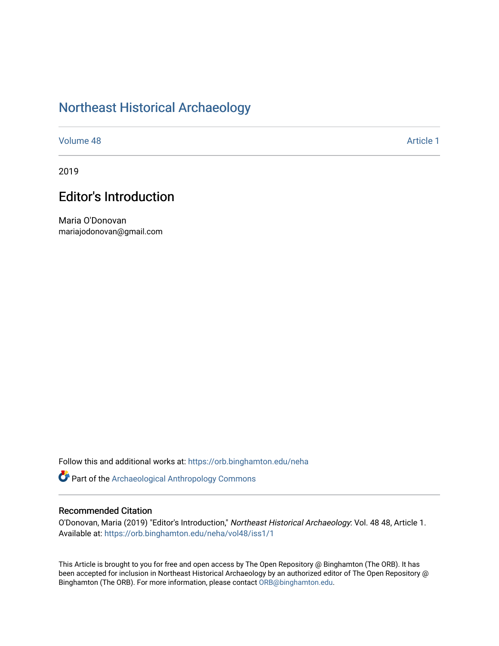## [Northeast Historical Archaeology](https://orb.binghamton.edu/neha)

[Volume 48](https://orb.binghamton.edu/neha/vol48) [Article 1](https://orb.binghamton.edu/neha/vol48/iss1/1) 

2019

## **Editor's Introduction**

Maria O'Donovan mariajodonovan@gmail.com

Follow this and additional works at: [https://orb.binghamton.edu/neha](https://orb.binghamton.edu/neha?utm_source=orb.binghamton.edu%2Fneha%2Fvol48%2Fiss1%2F1&utm_medium=PDF&utm_campaign=PDFCoverPages) 

Part of the [Archaeological Anthropology Commons](http://network.bepress.com/hgg/discipline/319?utm_source=orb.binghamton.edu%2Fneha%2Fvol48%2Fiss1%2F1&utm_medium=PDF&utm_campaign=PDFCoverPages)

## Recommended Citation

O'Donovan, Maria (2019) "Editor's Introduction," Northeast Historical Archaeology: Vol. 48 48, Article 1. Available at: [https://orb.binghamton.edu/neha/vol48/iss1/1](https://orb.binghamton.edu/neha/vol48/iss1/1?utm_source=orb.binghamton.edu%2Fneha%2Fvol48%2Fiss1%2F1&utm_medium=PDF&utm_campaign=PDFCoverPages) 

This Article is brought to you for free and open access by The Open Repository @ Binghamton (The ORB). It has been accepted for inclusion in Northeast Historical Archaeology by an authorized editor of The Open Repository @ Binghamton (The ORB). For more information, please contact [ORB@binghamton.edu](mailto:ORB@binghamton.edu).